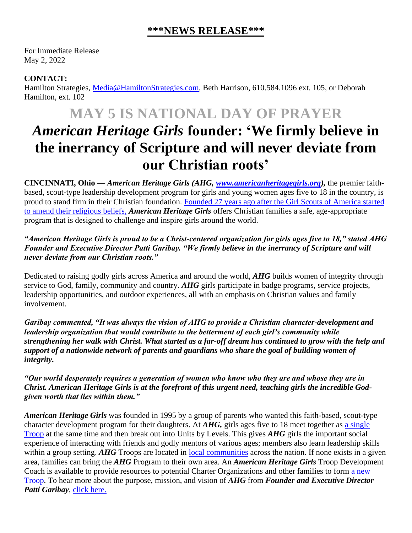### **\*\*\*NEWS RELEASE\*\*\***

For Immediate Release May 2, 2022

### **CONTACT:**

Hamilton Strategies, [Media@HamiltonStrategies.com,](mailto:Media@HamiltonStrategies.com) Beth Harrison, 610.584.1096 ext. 105, or Deborah Hamilton, ext. 102

## **MAY 5 IS NATIONAL DAY OF PRAYER**

# *American Heritage Girls* **founder: 'We firmly believe in the inerrancy of Scripture and will never deviate from our Christian roots'**

**CINCINNATI, Ohio —** *American Heritage Girls (AHG, [www.americanheritagegirls.org\)](http://www.americanheritagegirls.org/),* the premier faithbased, scout-type leadership development program for girls and young women ages five to 18 in the country, is proud to stand firm in their Christian foundation. [Founded 27 years ago after the Girl Scouts of America started](https://americanheritagegirls.org/about-ahg/ahgs-story/)  [to amend their religious beliefs,](https://americanheritagegirls.org/about-ahg/ahgs-story/) *American Heritage Girls* offers Christian families a safe, age-appropriate program that is designed to challenge and inspire girls around the world.

#### *"American Heritage Girls is proud to be a Christ-centered organization for girls ages five to 18," stated AHG Founder and Executive Director Patti Garibay. "We firmly believe in the inerrancy of Scripture and will never deviate from our Christian roots."*

Dedicated to raising godly girls across America and around the world, *AHG* builds women of integrity through service to God, family, community and country. *AHG* girls participate in badge programs, service projects, leadership opportunities, and outdoor experiences, all with an emphasis on Christian values and family involvement.

*Garibay commented, "It was always the vision of AHG to provide a Christian character-development and leadership organization that would contribute to the betterment of each girl's community while strengthening her walk with Christ. What started as a far-off dream has continued to grow with the help and support of a nationwide network of parents and guardians who share the goal of building women of integrity.*

*"Our world desperately requires a generation of women who know who they are and whose they are in Christ. American Heritage Girls is at the forefront of this urgent need, teaching girls the incredible Godgiven worth that lies within them."*

*American Heritage Girls* was founded in 1995 by a group of parents who wanted this faith-based, scout-type character development program for their daughters. At *AHG,* girls ages five to 18 meet together as a [single](https://americanheritagegirls.org/start-a-troop/structure-and-costs/) [Troop](https://americanheritagegirls.org/start-a-troop/structure-and-costs/) at the same time and then break out into Units by Levels. This gives *AHG* girls the important social experience of interacting with friends and godly mentors of various ages; members also learn leadership skills within a group setting. *AHG* Troops are located in local [communities](https://americanheritagegirls.org/find-a-troop/) across the nation. If none exists in a given area, families can bring the *AHG* Program to their own area. An *American Heritage Girls* Troop Development Coach is available to provide resources to potential Charter Organizations and other families to form a [new](https://americanheritagegirls.org/start-a-troop/getting-started/) [Troop.](https://americanheritagegirls.org/start-a-troop/getting-started/) To hear more about the purpose, mission, and vision of *AHG* from *Founder and Executive Director Patti Garibay*, click [here.](https://www.youtube.com/watch?v=487uEE8gF9w)